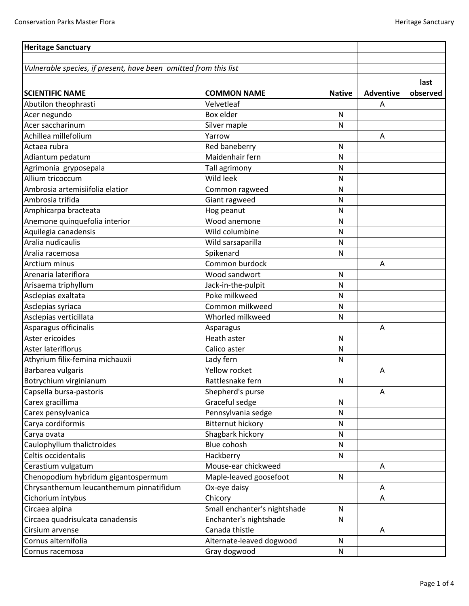| <b>Heritage Sanctuary</b>                                        |                              |               |                  |          |
|------------------------------------------------------------------|------------------------------|---------------|------------------|----------|
| Vulnerable species, if present, have been omitted from this list |                              |               |                  |          |
|                                                                  |                              |               |                  |          |
|                                                                  |                              |               |                  | last     |
| <b>SCIENTIFIC NAME</b>                                           | <b>COMMON NAME</b>           | <b>Native</b> | <b>Adventive</b> | observed |
| Abutilon theophrasti                                             | Velvetleaf                   |               | A                |          |
| Acer negundo                                                     | Box elder                    | ${\sf N}$     |                  |          |
| Acer saccharinum                                                 | Silver maple                 | N             |                  |          |
| Achillea millefolium                                             | Yarrow                       |               | Α                |          |
| Actaea rubra                                                     | Red baneberry                | N             |                  |          |
| Adiantum pedatum                                                 | Maidenhair fern              | N             |                  |          |
| Agrimonia gryposepala                                            | Tall agrimony                | $\mathsf{N}$  |                  |          |
| Allium tricoccum                                                 | Wild leek                    | $\mathsf{N}$  |                  |          |
| Ambrosia artemisiifolia elatior                                  | Common ragweed               | N             |                  |          |
| Ambrosia trifida                                                 | Giant ragweed                | Ν             |                  |          |
| Amphicarpa bracteata                                             | Hog peanut                   | N             |                  |          |
| Anemone quinquefolia interior                                    | Wood anemone                 | N             |                  |          |
| Aquilegia canadensis                                             | Wild columbine               | N             |                  |          |
| Aralia nudicaulis                                                | Wild sarsaparilla            | ${\sf N}$     |                  |          |
| Aralia racemosa                                                  | Spikenard                    | N             |                  |          |
| Arctium minus                                                    | Common burdock               |               | Α                |          |
| Arenaria lateriflora                                             | Wood sandwort                | N             |                  |          |
| Arisaema triphyllum                                              | Jack-in-the-pulpit           | $\mathsf{N}$  |                  |          |
| Asclepias exaltata                                               | Poke milkweed                | N             |                  |          |
| Asclepias syriaca                                                | Common milkweed              | ${\sf N}$     |                  |          |
| Asclepias verticillata                                           | Whorled milkweed             | N             |                  |          |
| Asparagus officinalis                                            | Asparagus                    |               | A                |          |
| Aster ericoides                                                  | Heath aster                  | N             |                  |          |
| Aster lateriflorus                                               | Calico aster                 | N             |                  |          |
| Athyrium filix-femina michauxii                                  | Lady fern                    | $\mathsf{N}$  |                  |          |
| Barbarea vulgaris                                                | Yellow rocket                |               | A                |          |
| Botrychium virginianum                                           | Rattlesnake fern             | N             |                  |          |
| Capsella bursa-pastoris                                          | Shepherd's purse             |               | A                |          |
| Carex gracillima                                                 | Graceful sedge               | N             |                  |          |
| Carex pensylvanica                                               | Pennsylvania sedge           | N             |                  |          |
| Carya cordiformis                                                | <b>Bitternut hickory</b>     | N             |                  |          |
| Carya ovata                                                      | Shagbark hickory             | N             |                  |          |
| Caulophyllum thalictroides                                       | Blue cohosh                  | ${\sf N}$     |                  |          |
| Celtis occidentalis                                              | Hackberry                    | N             |                  |          |
| Cerastium vulgatum                                               | Mouse-ear chickweed          |               | A                |          |
| Chenopodium hybridum gigantospermum                              | Maple-leaved goosefoot       | N             |                  |          |
| Chrysanthemum leucanthemum pinnatifidum                          | Ox-eye daisy                 |               | A                |          |
| Cichorium intybus                                                | Chicory                      |               | Α                |          |
| Circaea alpina                                                   | Small enchanter's nightshade | N             |                  |          |
| Circaea quadrisulcata canadensis                                 | Enchanter's nightshade       | N             |                  |          |
| Cirsium arvense                                                  | Canada thistle               |               | Α                |          |
| Cornus alternifolia                                              | Alternate-leaved dogwood     | N             |                  |          |
| Cornus racemosa                                                  | Gray dogwood                 | N             |                  |          |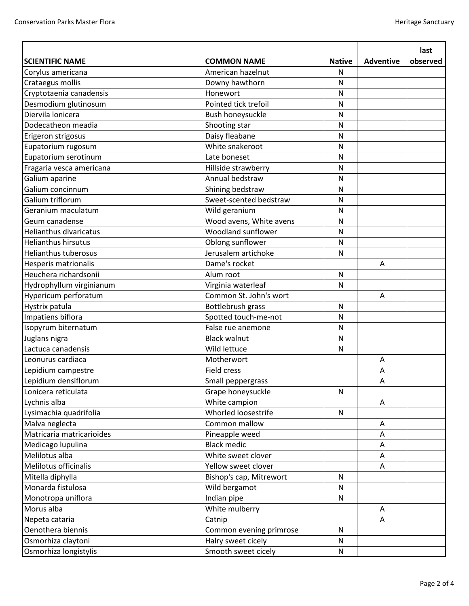|                               |                         |               |                  | last     |
|-------------------------------|-------------------------|---------------|------------------|----------|
| <b>SCIENTIFIC NAME</b>        | <b>COMMON NAME</b>      | <b>Native</b> | <b>Adventive</b> | observed |
| Corylus americana             | American hazelnut       | N             |                  |          |
| Crataegus mollis              | Downy hawthorn          | N             |                  |          |
| Cryptotaenia canadensis       | Honewort                | $\mathsf{N}$  |                  |          |
| Desmodium glutinosum          | Pointed tick trefoil    | $\mathsf{N}$  |                  |          |
| Diervila lonicera             | Bush honeysuckle        | N             |                  |          |
| Dodecatheon meadia            | Shooting star           | N             |                  |          |
| Erigeron strigosus            | Daisy fleabane          | ${\sf N}$     |                  |          |
| Eupatorium rugosum            | White snakeroot         | N             |                  |          |
| Eupatorium serotinum          | Late boneset            | N             |                  |          |
| Fragaria vesca americana      | Hillside strawberry     | ${\sf N}$     |                  |          |
| Galium aparine                | Annual bedstraw         | N             |                  |          |
| Galium concinnum              | Shining bedstraw        | N             |                  |          |
| Galium triflorum              | Sweet-scented bedstraw  | ${\sf N}$     |                  |          |
| Geranium maculatum            | Wild geranium           | N             |                  |          |
| Geum canadense                | Wood avens, White avens | N             |                  |          |
| <b>Helianthus divaricatus</b> | Woodland sunflower      | ${\sf N}$     |                  |          |
| <b>Helianthus hirsutus</b>    | Oblong sunflower        | ${\sf N}$     |                  |          |
| <b>Helianthus tuberosus</b>   | Jerusalem artichoke     | ${\sf N}$     |                  |          |
| Hesperis matrionalis          | Dame's rocket           |               | A                |          |
| Heuchera richardsonii         | Alum root               | ${\sf N}$     |                  |          |
| Hydrophyllum virginianum      | Virginia waterleaf      | N             |                  |          |
| Hypericum perforatum          | Common St. John's wort  |               | Α                |          |
| Hystrix patula                | Bottlebrush grass       | ${\sf N}$     |                  |          |
| Impatiens biflora             | Spotted touch-me-not    | N             |                  |          |
| Isopyrum biternatum           | False rue anemone       | N             |                  |          |
| Juglans nigra                 | <b>Black walnut</b>     | N             |                  |          |
| Lactuca canadensis            | Wild lettuce            | N             |                  |          |
| Leonurus cardiaca             | Motherwort              |               | Α                |          |
| Lepidium campestre            | <b>Field cress</b>      |               | А                |          |
| Lepidium densiflorum          | Small peppergrass       |               | Α                |          |
| Lonicera reticulata           | Grape honeysuckle       | N             |                  |          |
| Lychnis alba                  | White campion           |               | A                |          |
| Lysimachia quadrifolia        | Whorled loosestrife     | $\mathsf{N}$  |                  |          |
| Malva neglecta                | Common mallow           |               | A                |          |
| Matricaria matricarioides     | Pineapple weed          |               | Α                |          |
| Medicago lupulina             | <b>Black medic</b>      |               | Α                |          |
| Melilotus alba                | White sweet clover      |               | Α                |          |
| Melilotus officinalis         | Yellow sweet clover     |               | A                |          |
| Mitella diphylla              | Bishop's cap, Mitrewort | $\mathsf{N}$  |                  |          |
| Monarda fistulosa             | Wild bergamot           | N             |                  |          |
| Monotropa uniflora            | Indian pipe             | N             |                  |          |
| Morus alba                    | White mulberry          |               | Α                |          |
| Nepeta cataria                | Catnip                  |               | A                |          |
| Oenothera biennis             | Common evening primrose | N             |                  |          |
| Osmorhiza claytoni            | Halry sweet cicely      | ${\sf N}$     |                  |          |
| Osmorhiza longistylis         | Smooth sweet cicely     | ${\sf N}$     |                  |          |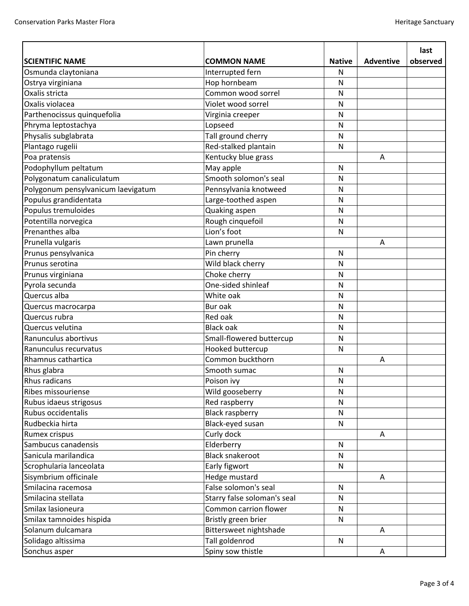|                                    |                             |               |                  | last     |
|------------------------------------|-----------------------------|---------------|------------------|----------|
| <b>SCIENTIFIC NAME</b>             | <b>COMMON NAME</b>          | <b>Native</b> | <b>Adventive</b> | observed |
| Osmunda claytoniana                | Interrupted fern            | N             |                  |          |
| Ostrya virginiana                  | Hop hornbeam                | N             |                  |          |
| Oxalis stricta                     | Common wood sorrel          | N             |                  |          |
| Oxalis violacea                    | Violet wood sorrel          | N             |                  |          |
| Parthenocissus quinquefolia        | Virginia creeper            | N             |                  |          |
| Phryma leptostachya                | Lopseed                     | N             |                  |          |
| Physalis subglabrata               | Tall ground cherry          | ${\sf N}$     |                  |          |
| Plantago rugelii                   | Red-stalked plantain        | ${\sf N}$     |                  |          |
| Poa pratensis                      | Kentucky blue grass         |               | A                |          |
| Podophyllum peltatum               | May apple                   | N             |                  |          |
| Polygonatum canaliculatum          | Smooth solomon's seal       | Ν             |                  |          |
| Polygonum pensylvanicum laevigatum | Pennsylvania knotweed       | N             |                  |          |
| Populus grandidentata              | Large-toothed aspen         | N             |                  |          |
| Populus tremuloides                | Quaking aspen               | N             |                  |          |
| Potentilla norvegica               | Rough cinquefoil            | N             |                  |          |
| Prenanthes alba                    | Lion's foot                 | N             |                  |          |
| Prunella vulgaris                  | Lawn prunella               |               | A                |          |
| Prunus pensylvanica                | Pin cherry                  | ${\sf N}$     |                  |          |
| Prunus serotina                    | Wild black cherry           | N             |                  |          |
| Prunus virginiana                  | Choke cherry                | N             |                  |          |
| Pyrola secunda                     | One-sided shinleaf          | N             |                  |          |
| Quercus alba                       | White oak                   | ${\sf N}$     |                  |          |
| Quercus macrocarpa                 | Bur oak                     | N             |                  |          |
| Quercus rubra                      | Red oak                     | N             |                  |          |
| Quercus velutina                   | <b>Black oak</b>            | ${\sf N}$     |                  |          |
| Ranunculus abortivus               | Small-flowered buttercup    | N             |                  |          |
| Ranunculus recurvatus              | Hooked buttercup            | N             |                  |          |
| Rhamnus cathartica                 | Common buckthorn            |               | Α                |          |
| Rhus glabra                        | Smooth sumac                | ${\sf N}$     |                  |          |
| <b>Rhus radicans</b>               | Poison ivy                  | N             |                  |          |
| Ribes missouriense                 | Wild gooseberry             | N             |                  |          |
| Rubus idaeus strigosus             | Red raspberry               | N             |                  |          |
| Rubus occidentalis                 | <b>Black raspberry</b>      | $\mathsf{N}$  |                  |          |
| Rudbeckia hirta                    | Black-eyed susan            | ${\sf N}$     |                  |          |
| Rumex crispus                      | Curly dock                  |               | A                |          |
| Sambucus canadensis                | Elderberry                  | $\mathsf{N}$  |                  |          |
| Sanicula marilandica               | <b>Black snakeroot</b>      | N             |                  |          |
| Scrophularia lanceolata            | Early figwort               | N             |                  |          |
| Sisymbrium officinale              | Hedge mustard               |               | A                |          |
| Smilacina racemosa                 | False solomon's seal        | $\mathsf{N}$  |                  |          |
| Smilacina stellata                 | Starry false soloman's seal | N             |                  |          |
| Smilax lasioneura                  | Common carrion flower       | N             |                  |          |
| Smilax tamnoides hispida           | Bristly green brier         | N             |                  |          |
| Solanum dulcamara                  | Bittersweet nightshade      |               | A                |          |
| Solidago altissima                 | Tall goldenrod              | N             |                  |          |
| Sonchus asper                      | Spiny sow thistle           |               | $\mathsf{A}$     |          |